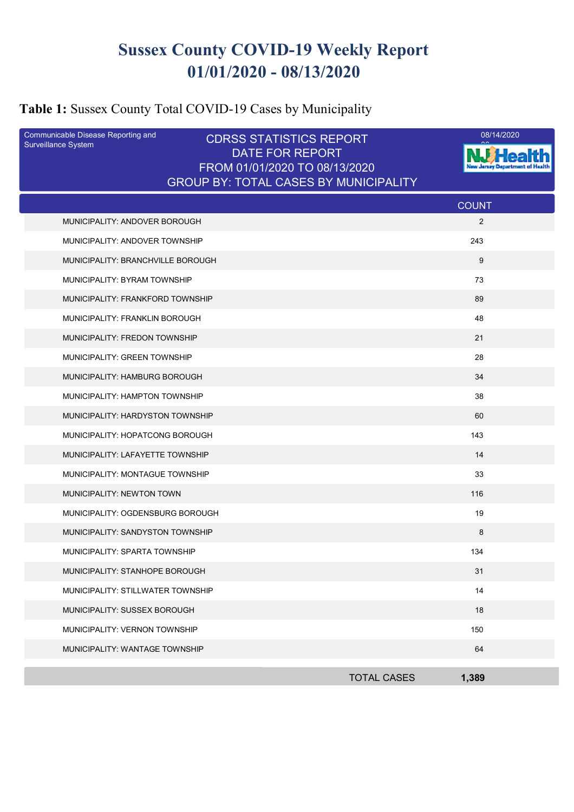# **Sussex County COVID-19 Weekly Report 01/01/2020 - 08/13/2020**

# **Table 1:** Sussex County Total COVID-19 Cases by Municipality

| Communicable Disease Reporting and<br>Surveillance System | <b>CDRSS STATISTICS REPORT</b><br><b>DATE FOR REPORT</b><br>FROM 01/01/2020 TO 08/13/2020<br><b>GROUP BY: TOTAL CASES BY MUNICIPALITY</b> | 08/14/2020   |
|-----------------------------------------------------------|-------------------------------------------------------------------------------------------------------------------------------------------|--------------|
|                                                           |                                                                                                                                           | <b>COUNT</b> |
| MUNICIPALITY: ANDOVER BOROUGH                             |                                                                                                                                           | 2            |
| MUNICIPALITY: ANDOVER TOWNSHIP                            |                                                                                                                                           | 243          |
| MUNICIPALITY: BRANCHVILLE BOROUGH                         |                                                                                                                                           | 9            |
| MUNICIPALITY: BYRAM TOWNSHIP                              |                                                                                                                                           | 73           |
| MUNICIPALITY: FRANKFORD TOWNSHIP                          |                                                                                                                                           | 89           |
| MUNICIPALITY: FRANKLIN BOROUGH                            |                                                                                                                                           | 48           |
| MUNICIPALITY: FREDON TOWNSHIP                             |                                                                                                                                           | 21           |
| MUNICIPALITY: GREEN TOWNSHIP                              |                                                                                                                                           | 28           |
| MUNICIPALITY: HAMBURG BOROUGH                             |                                                                                                                                           | 34           |
| MUNICIPALITY: HAMPTON TOWNSHIP                            |                                                                                                                                           | 38           |
| MUNICIPALITY: HARDYSTON TOWNSHIP                          |                                                                                                                                           | 60           |
| MUNICIPALITY: HOPATCONG BOROUGH                           |                                                                                                                                           | 143          |
| MUNICIPALITY: LAFAYETTE TOWNSHIP                          |                                                                                                                                           | 14           |
| MUNICIPALITY: MONTAGUE TOWNSHIP                           |                                                                                                                                           | 33           |
| MUNICIPALITY: NEWTON TOWN                                 |                                                                                                                                           | 116          |
| MUNICIPALITY: OGDENSBURG BOROUGH                          |                                                                                                                                           | 19           |
| MUNICIPALITY: SANDYSTON TOWNSHIP                          |                                                                                                                                           | 8            |
| MUNICIPALITY: SPARTA TOWNSHIP                             |                                                                                                                                           | 134          |
| MUNICIPALITY: STANHOPE BOROUGH                            |                                                                                                                                           | 31           |
| MUNICIPALITY: STILLWATER TOWNSHIP                         |                                                                                                                                           | 14           |
| MUNICIPALITY: SUSSEX BOROUGH                              |                                                                                                                                           | 18           |
| MUNICIPALITY: VERNON TOWNSHIP                             |                                                                                                                                           | 150          |
| MUNICIPALITY: WANTAGE TOWNSHIP                            |                                                                                                                                           | 64           |
|                                                           | <b>TOTAL CASES</b>                                                                                                                        | 1,389        |
|                                                           |                                                                                                                                           |              |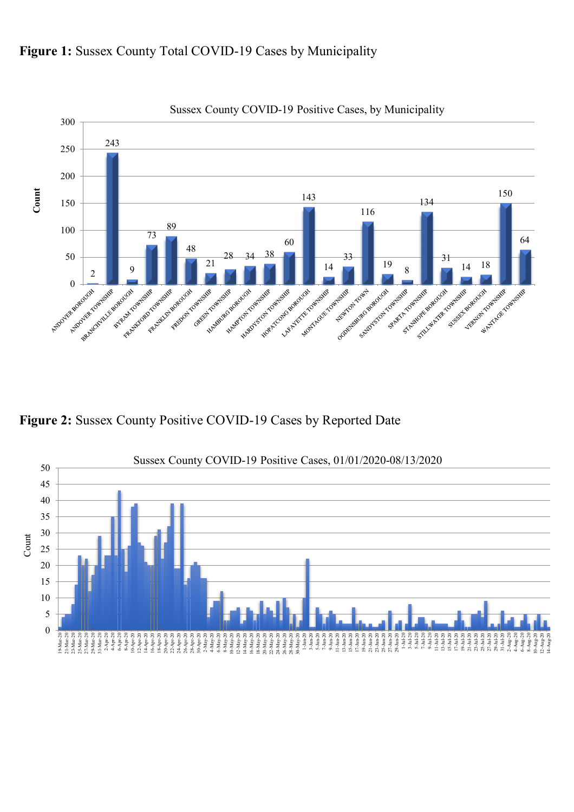

#### Figure 1: Sussex County Total COVID-19 Cases by Municipality

**Figure 2:** Sussex County Positive COVID-19 Cases by Reported Date

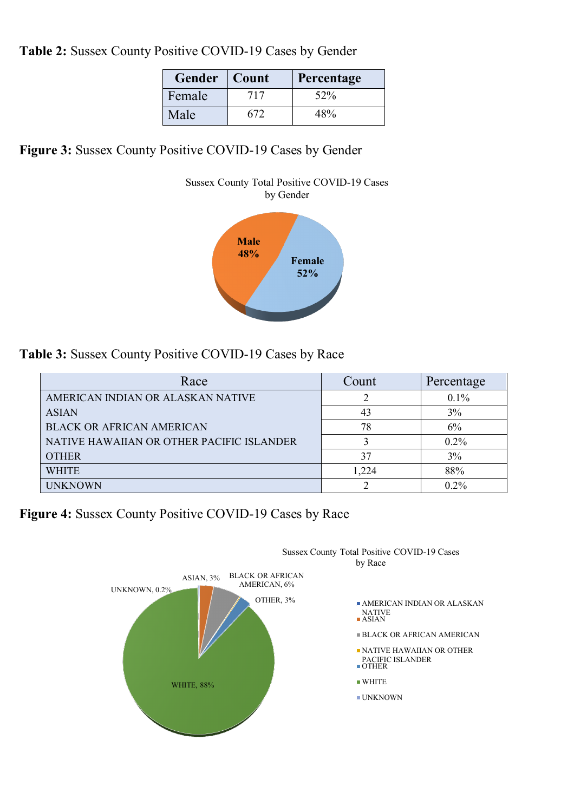**Table 2:** Sussex County Positive COVID-19 Cases by Gender

| Gender | $\vert$ Count | Percentage |
|--------|---------------|------------|
| Female | 717           | 52%        |
| Male   | 672           | 48%        |

**Figure 3:** Sussex County Positive COVID-19 Cases by Gender



**Table 3:** Sussex County Positive COVID-19 Cases by Race

| Race                                      | Count | Percentage |
|-------------------------------------------|-------|------------|
| AMERICAN INDIAN OR ALASKAN NATIVE         |       | $0.1\%$    |
| <b>ASIAN</b>                              | 43    | 3%         |
| <b>BLACK OR AFRICAN AMERICAN</b>          | 78    | 6%         |
| NATIVE HAWAIIAN OR OTHER PACIFIC ISLANDER |       | $0.2\%$    |
| <b>OTHER</b>                              | 37    | 3%         |
| <b>WHITE</b>                              | 1,224 | 88%        |
| <b>UNKNOWN</b>                            |       | $0.2\%$    |

**Figure 4:** Sussex County Positive COVID-19 Cases by Race

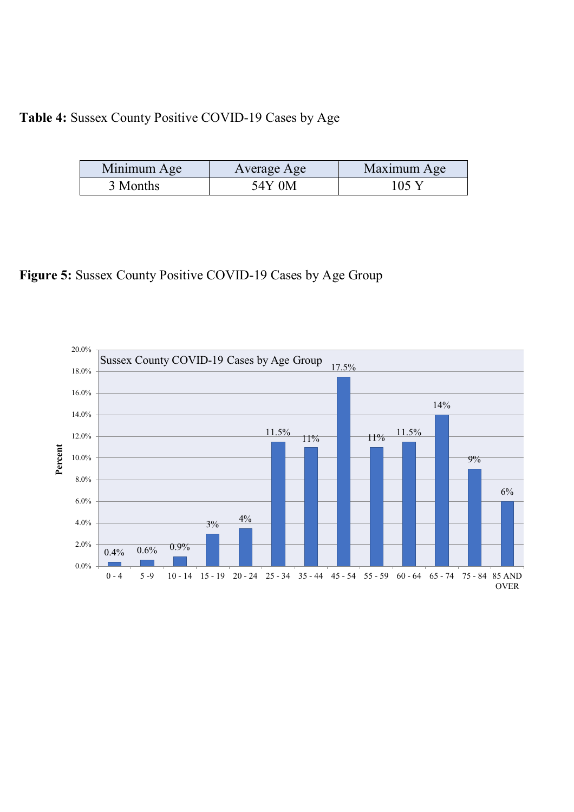### **Table 4:** Sussex County Positive COVID-19 Cases by Age

| Minimum Age | Average Age | Maximum Age |
|-------------|-------------|-------------|
| 3 Months    | 54Y 0M      | 105 Y       |

### **Figure 5:** Sussex County Positive COVID-19 Cases by Age Group

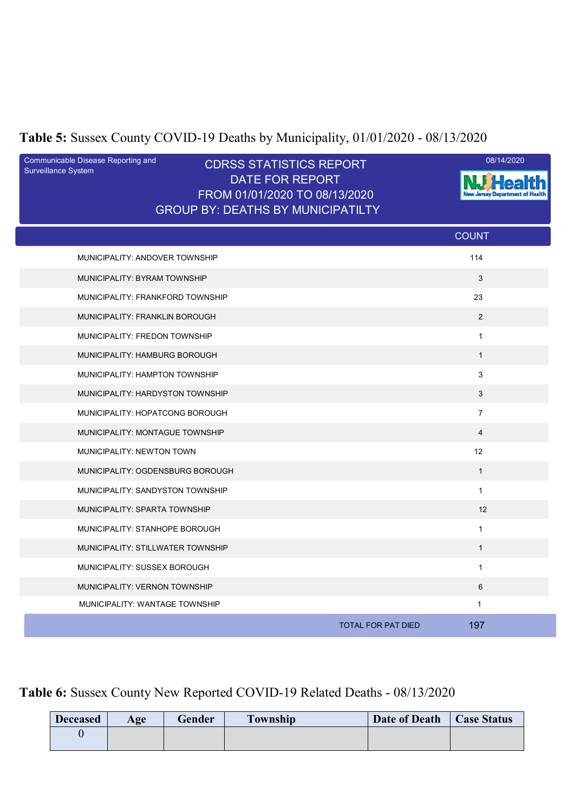# **Table 5:** Sussex County COVID-19 Deaths by Municipality, 01/01/2020 - 08/13/2020

| Communicable Disease Reporting and<br>Surveillance System | <b>CDRSS STATISTICS REPORT</b><br><b>DATE FOR REPORT</b><br>FROM 01/01/2020 TO 08/13/2020<br><b>GROUP BY: DEATHS BY MUNICIPATILTY</b> | 08/14/2020                       |
|-----------------------------------------------------------|---------------------------------------------------------------------------------------------------------------------------------------|----------------------------------|
|                                                           |                                                                                                                                       | <b>COUNT</b>                     |
| MUNICIPALITY: ANDOVER TOWNSHIP                            |                                                                                                                                       | 114                              |
| MUNICIPALITY: BYRAM TOWNSHIP                              |                                                                                                                                       | 3                                |
| MUNICIPALITY: FRANKFORD TOWNSHIP                          |                                                                                                                                       | 23                               |
| MUNICIPALITY: FRANKLIN BOROUGH                            |                                                                                                                                       | 2                                |
| MUNICIPALITY: FREDON TOWNSHIP                             |                                                                                                                                       | $\mathbf{1}$                     |
| MUNICIPALITY: HAMBURG BOROUGH                             |                                                                                                                                       | $\mathbf{1}$                     |
| MUNICIPALITY: HAMPTON TOWNSHIP                            |                                                                                                                                       | 3                                |
| MUNICIPALITY: HARDYSTON TOWNSHIP                          |                                                                                                                                       | 3                                |
| MUNICIPALITY: HOPATCONG BOROUGH                           |                                                                                                                                       | $\overline{7}$                   |
| MUNICIPALITY: MONTAGUE TOWNSHIP                           |                                                                                                                                       | $\overline{4}$                   |
| MUNICIPALITY: NEWTON TOWN                                 |                                                                                                                                       | 12                               |
| MUNICIPALITY: OGDENSBURG BOROUGH                          |                                                                                                                                       | $\mathbf{1}$                     |
| MUNICIPALITY: SANDYSTON TOWNSHIP                          |                                                                                                                                       | $\mathbf{1}$                     |
| MUNICIPALITY: SPARTA TOWNSHIP                             |                                                                                                                                       | 12                               |
| MUNICIPALITY: STANHOPE BOROUGH                            |                                                                                                                                       | $\mathbf{1}$                     |
| MUNICIPALITY: STILLWATER TOWNSHIP                         |                                                                                                                                       | $\mathbf{1}$                     |
| MUNICIPALITY: SUSSEX BOROUGH                              |                                                                                                                                       | $\mathbf{1}$                     |
| <b>MUNICIPALITY: VERNON TOWNSHIP</b>                      |                                                                                                                                       | 6                                |
| MUNICIPALITY: WANTAGE TOWNSHIP                            |                                                                                                                                       | 1                                |
|                                                           |                                                                                                                                       | 197<br><b>TOTAL FOR PAT DIED</b> |

### **Table 6:** Sussex County New Reported COVID-19 Related Deaths - 08/13/2020

| <b>Deceased</b> | Age | Gender | <b>Township</b> | Date of Death | <b>Case Status</b> |
|-----------------|-----|--------|-----------------|---------------|--------------------|
|                 |     |        |                 |               |                    |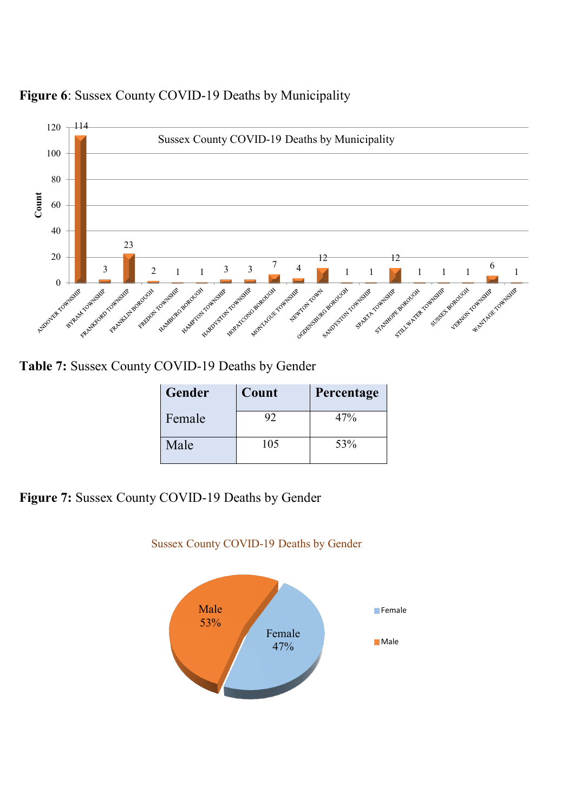



**Table 7:** Sussex County COVID-19 Deaths by Gender

| <b>Gender</b> | Count | Percentage |
|---------------|-------|------------|
| Female        | 92    | 47%        |
| Male          | 105   | 53%        |

**Figure 7:** Sussex County COVID-19 Deaths by Gender



#### Sussex County COVID-19 Deaths by Gender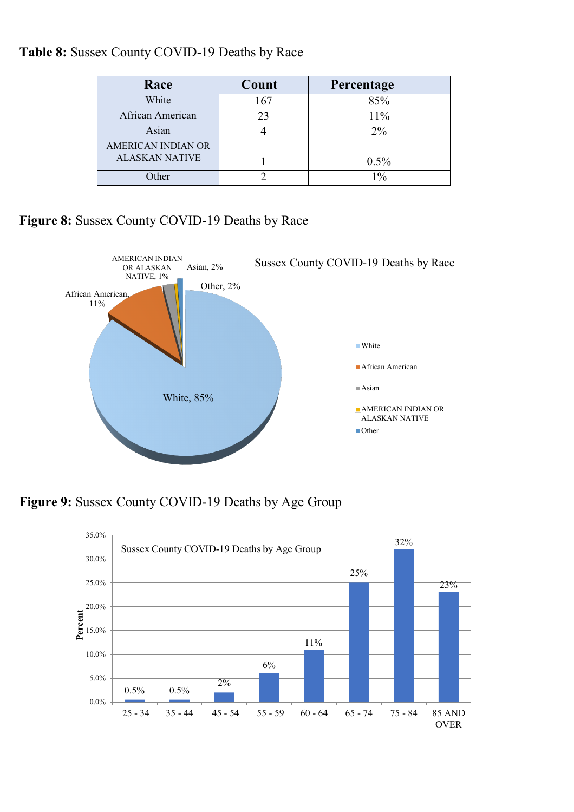|  | Table 8: Sussex County COVID-19 Deaths by Race |  |
|--|------------------------------------------------|--|
|--|------------------------------------------------|--|

| Race                  | Count | Percentage |
|-----------------------|-------|------------|
| White                 | 167   | 85%        |
| African American      | 23    | 11%        |
| Asian                 |       | $2\%$      |
| AMERICAN INDIAN OR    |       |            |
| <b>ALASKAN NATIVE</b> |       | 0.5%       |
| Other                 |       | $1\%$      |

#### **Figure 8:** Sussex County COVID-19 Deaths by Race



**Figure 9:** Sussex County COVID-19 Deaths by Age Group